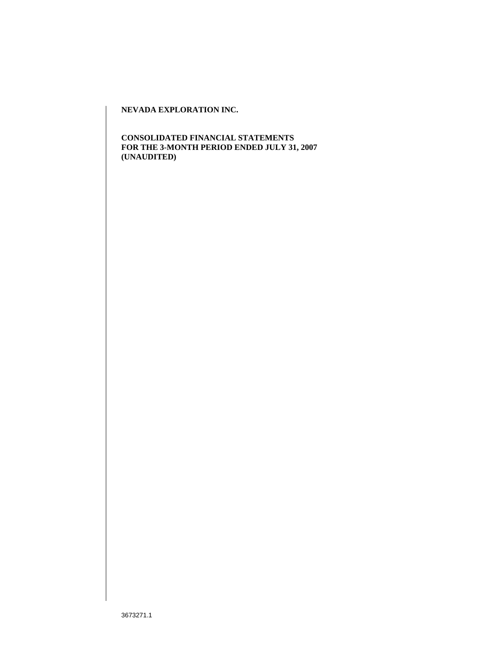**CONSOLIDATED FINANCIAL STATEMENTS FOR THE 3-MONTH PERIOD ENDED JULY 31, 2007 (UNAUDITED)**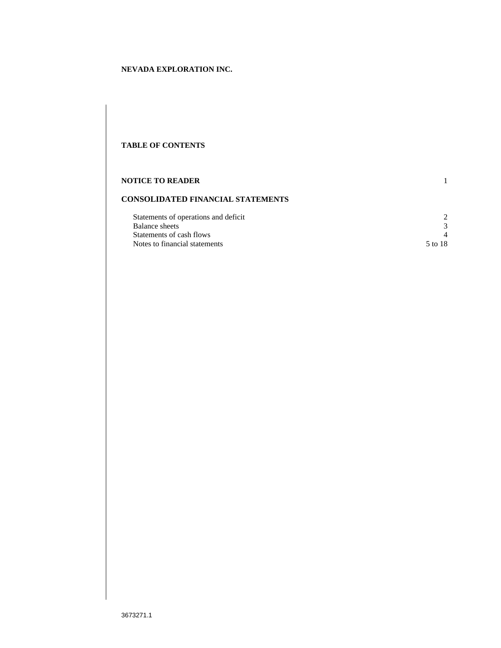## **TABLE OF CONTENTS**

| <b>NOTICE TO READER</b>                  |         |  |  |  |
|------------------------------------------|---------|--|--|--|
| <b>CONSOLIDATED FINANCIAL STATEMENTS</b> |         |  |  |  |
| Statements of operations and deficit     |         |  |  |  |
| <b>Balance</b> sheets                    |         |  |  |  |
| Statements of cash flows                 |         |  |  |  |
| Notes to financial statements            | 5 to 18 |  |  |  |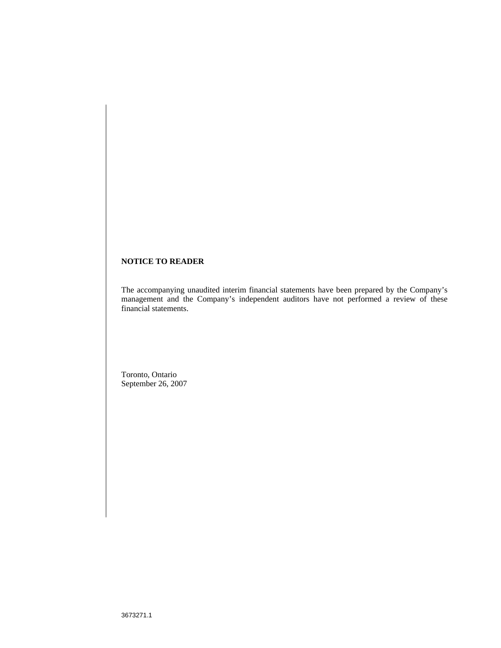# **NOTICE TO READER**

The accompanying unaudited interim financial statements have been prepared by the Company's management and the Company's independent auditors have not performed a review of these financial statements.

Toronto, Ontario September 26, 2007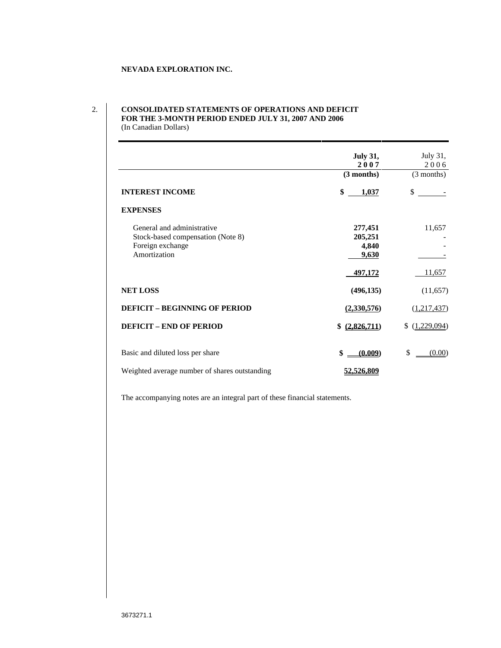### 2. **CONSOLIDATED STATEMENTS OF OPERATIONS AND DEFICIT FOR THE 3-MONTH PERIOD ENDED JULY 31, 2007 AND 2006** (In Canadian Dollars)

|                                               | <b>July 31,</b>       | July 31,                                                                                                                                                                                                                                                                                                                                                                                                                                                                   |
|-----------------------------------------------|-----------------------|----------------------------------------------------------------------------------------------------------------------------------------------------------------------------------------------------------------------------------------------------------------------------------------------------------------------------------------------------------------------------------------------------------------------------------------------------------------------------|
|                                               | 2007                  | 2006                                                                                                                                                                                                                                                                                                                                                                                                                                                                       |
|                                               | $(3$ months)          | (3 months)                                                                                                                                                                                                                                                                                                                                                                                                                                                                 |
|                                               |                       |                                                                                                                                                                                                                                                                                                                                                                                                                                                                            |
| <b>INTEREST INCOME</b>                        | 1,037                 | $\frac{1}{2} \left( \frac{1}{2} \right) \left( \frac{1}{2} \right) \left( \frac{1}{2} \right) \left( \frac{1}{2} \right) \left( \frac{1}{2} \right) \left( \frac{1}{2} \right) \left( \frac{1}{2} \right) \left( \frac{1}{2} \right) \left( \frac{1}{2} \right) \left( \frac{1}{2} \right) \left( \frac{1}{2} \right) \left( \frac{1}{2} \right) \left( \frac{1}{2} \right) \left( \frac{1}{2} \right) \left( \frac{1}{2} \right) \left( \frac{1}{2} \right) \left( \frac$ |
| <b>EXPENSES</b>                               |                       |                                                                                                                                                                                                                                                                                                                                                                                                                                                                            |
|                                               |                       |                                                                                                                                                                                                                                                                                                                                                                                                                                                                            |
| General and administrative                    | 277,451               | 11,657                                                                                                                                                                                                                                                                                                                                                                                                                                                                     |
| Stock-based compensation (Note 8)             | 205,251               | $\sim$                                                                                                                                                                                                                                                                                                                                                                                                                                                                     |
| Foreign exchange<br>Amortization              | 4,840                 | $\sim$                                                                                                                                                                                                                                                                                                                                                                                                                                                                     |
|                                               | $-9,630$              | $\frac{1}{2} \left( \frac{1}{2} \right) \left( \frac{1}{2} \right) \left( \frac{1}{2} \right) \left( \frac{1}{2} \right) \left( \frac{1}{2} \right) \left( \frac{1}{2} \right) \left( \frac{1}{2} \right) \left( \frac{1}{2} \right) \left( \frac{1}{2} \right) \left( \frac{1}{2} \right) \left( \frac{1}{2} \right) \left( \frac{1}{2} \right) \left( \frac{1}{2} \right) \left( \frac{1}{2} \right) \left( \frac{1}{2} \right) \left( \frac{1}{2} \right) \left( \frac$ |
|                                               | 497,172               | 11,657                                                                                                                                                                                                                                                                                                                                                                                                                                                                     |
|                                               |                       |                                                                                                                                                                                                                                                                                                                                                                                                                                                                            |
| <b>NET LOSS</b>                               | (496, 135)            | (11, 657)                                                                                                                                                                                                                                                                                                                                                                                                                                                                  |
| <b>DEFICIT - BEGINNING OF PERIOD</b>          |                       | (1,217,437)                                                                                                                                                                                                                                                                                                                                                                                                                                                                |
|                                               | (2,330,576)           |                                                                                                                                                                                                                                                                                                                                                                                                                                                                            |
| <b>DEFICIT - END OF PERIOD</b>                | \$ (2,826,711)        | $\frac{(1,229,094)}{2}$                                                                                                                                                                                                                                                                                                                                                                                                                                                    |
|                                               |                       |                                                                                                                                                                                                                                                                                                                                                                                                                                                                            |
|                                               |                       |                                                                                                                                                                                                                                                                                                                                                                                                                                                                            |
| Basic and diluted loss per share              | $\underline{(0.009)}$ | (0.00)<br>S.                                                                                                                                                                                                                                                                                                                                                                                                                                                               |
|                                               |                       |                                                                                                                                                                                                                                                                                                                                                                                                                                                                            |
| Weighted average number of shares outstanding | <u>52,526,809</u>     |                                                                                                                                                                                                                                                                                                                                                                                                                                                                            |

The accompanying notes are an integral part of these financial statements.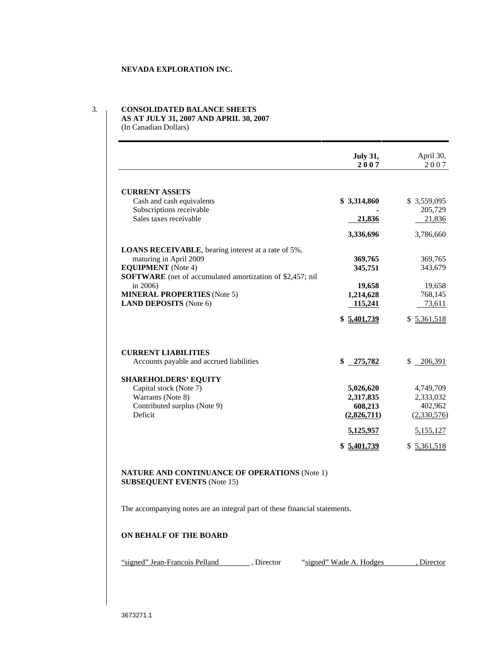#### 3. **CONSOLIDATED BALANCE SHEETS**

**AS AT JULY 31, 2007 AND APRIL 30, 2007** (In Canadian Dollars)

|                                                                  | July 31,<br>2007        | April 30,               |
|------------------------------------------------------------------|-------------------------|-------------------------|
|                                                                  |                         | 2007                    |
|                                                                  |                         |                         |
| <b>CURRENT ASSETS</b>                                            |                         |                         |
| Cash and cash equivalents                                        | \$3,314,860             | \$3,559,095             |
| Subscriptions receivable<br>Sales taxes receivable               | $\sim$                  | 205,729                 |
|                                                                  | 21,836                  | $-21,836$               |
|                                                                  | 3,336,696               | 3,786,660               |
| <b>LOANS RECEIVABLE</b> , bearing interest at a rate of 5%,      |                         |                         |
| maturing in April 2009                                           | 369,765                 | 369,765                 |
| <b>EQUIPMENT</b> (Note 4)                                        | 345,751                 | 343,679                 |
| <b>SOFTWARE</b> (net of accumulated amortization of \$2,457; nil |                         |                         |
| in $2006$ )                                                      | 19,658                  | 19,658                  |
| <b>MINERAL PROPERTIES</b> (Note 5)                               | 1,214,628               | 768,145                 |
| <b>LAND DEPOSITS</b> (Note 6)                                    | 115,241                 | 73,611                  |
|                                                                  | $$ \frac{5,401,739}{ }$ | $$ \frac{5,361,518}{ }$ |
|                                                                  |                         |                         |
|                                                                  |                         |                         |
| <b>CURRENT LIABILITIES</b>                                       |                         |                         |
| Accounts payable and accrued liabilities                         | \$ 275,782              | \$ 206,391              |
|                                                                  |                         |                         |
| <b>SHAREHOLDERS' EQUITY</b>                                      |                         |                         |
| Capital stock (Note 7)                                           | 5,026,620               | 4,749,709               |
| Warrants (Note 8)                                                | 2,317,835               | 2,333,032               |
| Contributed surplus (Note 9)<br>Deficit                          | 608,213<br>(2,826,711)  | 402,962                 |
|                                                                  |                         | (2,330,576)             |
|                                                                  | 5,125,957               | 5,155,127               |
|                                                                  | $$ \frac{5,401,739}{ }$ | $$ \frac{5,361,518}{ }$ |
|                                                                  |                         |                         |
|                                                                  |                         |                         |
| NATURE AND CONTINUANCE OF OPERATIONS (Note 1)                    |                         |                         |
| <b>SUBSEQUENT EVENTS (Note 15)</b>                               |                         |                         |

The accompanying notes are an integral part of these financial statements.

#### **ON BEHALF OF THE BOARD**

"signed" Jean-Francois Pelland , Director "signed" Wade A. Hodges , Director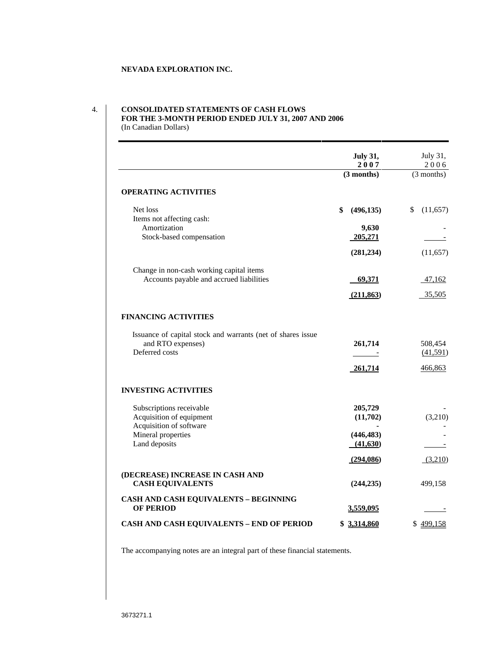## 4. **CONSOLIDATED STATEMENTS OF CASH FLOWS FOR THE 3-MONTH PERIOD ENDED JULY 31, 2007 AND 2006**

(In Canadian Dollars)

|                                                             | <b>July 31,</b>                                                                   | July 31,                                                                                                                                                                                                                                                                                                                                                                                                                                                                   |
|-------------------------------------------------------------|-----------------------------------------------------------------------------------|----------------------------------------------------------------------------------------------------------------------------------------------------------------------------------------------------------------------------------------------------------------------------------------------------------------------------------------------------------------------------------------------------------------------------------------------------------------------------|
|                                                             | 2007                                                                              | 2006                                                                                                                                                                                                                                                                                                                                                                                                                                                                       |
|                                                             | $(3$ months)                                                                      | $(3$ months)                                                                                                                                                                                                                                                                                                                                                                                                                                                               |
| <b>OPERATING ACTIVITIES</b>                                 |                                                                                   |                                                                                                                                                                                                                                                                                                                                                                                                                                                                            |
| Net loss                                                    | \$ (496,135)                                                                      | \$(11,657)                                                                                                                                                                                                                                                                                                                                                                                                                                                                 |
| Items not affecting cash:                                   |                                                                                   |                                                                                                                                                                                                                                                                                                                                                                                                                                                                            |
| Amortization                                                | 9,630                                                                             | $\sim$                                                                                                                                                                                                                                                                                                                                                                                                                                                                     |
| Stock-based compensation                                    | 205,271                                                                           | $\frac{1}{2}$                                                                                                                                                                                                                                                                                                                                                                                                                                                              |
|                                                             | (281, 234)                                                                        | (11,657)                                                                                                                                                                                                                                                                                                                                                                                                                                                                   |
| Change in non-cash working capital items                    |                                                                                   |                                                                                                                                                                                                                                                                                                                                                                                                                                                                            |
| Accounts payable and accrued liabilities                    | 69,371                                                                            | 47,162                                                                                                                                                                                                                                                                                                                                                                                                                                                                     |
|                                                             | (211, 863)                                                                        | 35,505                                                                                                                                                                                                                                                                                                                                                                                                                                                                     |
|                                                             |                                                                                   |                                                                                                                                                                                                                                                                                                                                                                                                                                                                            |
| <b>FINANCING ACTIVITIES</b>                                 |                                                                                   |                                                                                                                                                                                                                                                                                                                                                                                                                                                                            |
| Issuance of capital stock and warrants (net of shares issue |                                                                                   |                                                                                                                                                                                                                                                                                                                                                                                                                                                                            |
| and RTO expenses)                                           | 261,714                                                                           | 508,454                                                                                                                                                                                                                                                                                                                                                                                                                                                                    |
| Deferred costs                                              | $\frac{1}{\sqrt{1-\frac{1}{2}}}\left( \frac{1}{\sqrt{1-\frac{1}{2}}}\right) ^{2}$ | (41,591)                                                                                                                                                                                                                                                                                                                                                                                                                                                                   |
|                                                             | 261,714                                                                           | 466,863                                                                                                                                                                                                                                                                                                                                                                                                                                                                    |
| <b>INVESTING ACTIVITIES</b>                                 |                                                                                   |                                                                                                                                                                                                                                                                                                                                                                                                                                                                            |
|                                                             | 205,729                                                                           |                                                                                                                                                                                                                                                                                                                                                                                                                                                                            |
| Subscriptions receivable<br>Acquisition of equipment        | (11,702)                                                                          | $\sim$ $ \sim$<br>(3,210)                                                                                                                                                                                                                                                                                                                                                                                                                                                  |
| Acquisition of software                                     | $\sim$                                                                            | $\sim$ $ \sim$                                                                                                                                                                                                                                                                                                                                                                                                                                                             |
| Mineral properties                                          | (446, 483)                                                                        | $\sim$ $-$                                                                                                                                                                                                                                                                                                                                                                                                                                                                 |
| Land deposits                                               | (41,630)                                                                          | $\frac{1}{2} \left( \frac{1}{2} \right) \left( \frac{1}{2} \right) \left( \frac{1}{2} \right) \left( \frac{1}{2} \right) \left( \frac{1}{2} \right) \left( \frac{1}{2} \right) \left( \frac{1}{2} \right) \left( \frac{1}{2} \right) \left( \frac{1}{2} \right) \left( \frac{1}{2} \right) \left( \frac{1}{2} \right) \left( \frac{1}{2} \right) \left( \frac{1}{2} \right) \left( \frac{1}{2} \right) \left( \frac{1}{2} \right) \left( \frac{1}{2} \right) \left( \frac$ |
|                                                             | (294, 086)                                                                        | (3,210)                                                                                                                                                                                                                                                                                                                                                                                                                                                                    |
| (DECREASE) INCREASE IN CASH AND                             |                                                                                   |                                                                                                                                                                                                                                                                                                                                                                                                                                                                            |
| <b>CASH EQUIVALENTS</b>                                     | (244, 235)                                                                        | 499,158                                                                                                                                                                                                                                                                                                                                                                                                                                                                    |
| <b>CASH AND CASH EQUIVALENTS - BEGINNING</b>                |                                                                                   |                                                                                                                                                                                                                                                                                                                                                                                                                                                                            |
| <b>OF PERIOD</b>                                            | 3,559,095                                                                         | $\frac{1}{2}$                                                                                                                                                                                                                                                                                                                                                                                                                                                              |
| <b>CASH AND CASH EQUIVALENTS - END OF PERIOD</b>            | \$3,314,860                                                                       | \$499,158                                                                                                                                                                                                                                                                                                                                                                                                                                                                  |
|                                                             |                                                                                   |                                                                                                                                                                                                                                                                                                                                                                                                                                                                            |
|                                                             |                                                                                   |                                                                                                                                                                                                                                                                                                                                                                                                                                                                            |

The accompanying notes are an integral part of these financial statements.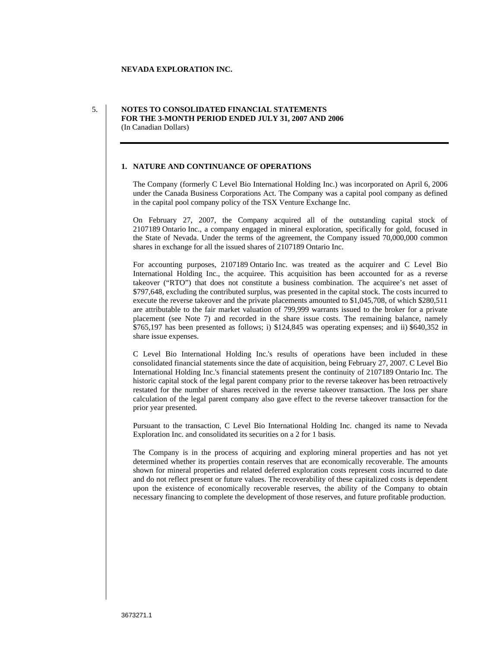## 5. **NOTES TO CONSOLIDATED FINANCIAL STATEMENTS FOR THE 3-MONTH PERIOD ENDED JULY 31, 2007 AND 2006** (In Canadian Dollars)

## **1. NATURE AND CONTINUANCE OF OPERATIONS**

The Company (formerly C Level Bio International Holding Inc.) was incorporated on April 6, 2006 under the Canada Business Corporations Act. The Company was a capital pool company as defined in the capital pool company policy of the TSX Venture Exchange Inc.

On February 27, 2007, the Company acquired all of the outstanding capital stock of 2107189 Ontario Inc., a company engaged in mineral exploration, specifically for gold, focused in the State of Nevada. Under the terms of the agreement, the Company issued 70,000,000 common shares in exchange for all the issued shares of 2107189 Ontario Inc.

For accounting purposes, 2107189 Ontario Inc. was treated as the acquirer and C Level Bio International Holding Inc., the acquiree. This acquisition has been accounted for as <sup>a</sup> reverse takeover ("RTO") that does not constitute <sup>a</sup> business combination. The acquiree's net asset of \$797,648, excluding the contributed surplus, was presented in the capital stock. The costs incurred to execute the reverse takeover and the private placements amounted to \$1,045,708, of which \$280,511 are attributable to the fair market valuation of 799,999 warrants issued to the broker for <sup>a</sup> private placement (see Note 7) and recorded in the share issue costs. The remaining balance, namely \$765,197 has been presented as follows; i) \$124,845 was operating expenses; and ii) \$640,352 in share issue expenses.

C Level Bio International Holding Inc.'s results of operations have been included in these consolidated financial statements since the date of acquisition, being February 27, 2007. C Level Bio International Holding Inc.'s financial statements present the continuity of 2107189 Ontario Inc. The historic capital stock of the legal parent company prior to the reverse takeover has been retroactively restated for the number of shares received in the reverse takeover transaction. The loss per share calculation of the legal parent company also gave effect to the reverse takeover transaction for the prior year presented.

Pursuant to the transaction, C Level Bio International Holding Inc. changed its name to Nevada Exploration Inc. and consolidated its securities on a 2 for 1 basis.

The Company is in the process of acquiring and exploring mineral properties and has not yet determined whether its properties contain reserves that are economically recoverable. The amounts shown for mineral properties and related deferred exploration costs represent costs incurred to date and do not reflect present or future values. The recoverability of these capitalized costs is dependent upon the existence of economically recoverable reserves, the ability of the Company to obtain necessary financing to complete the development of those reserves, and future profitable production.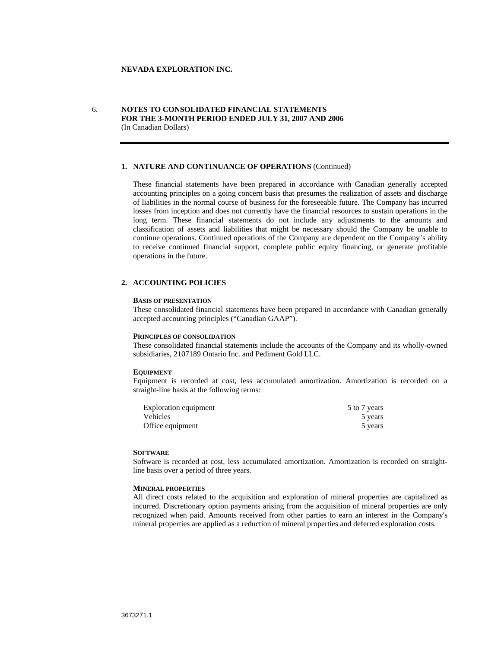### 6. **NOTES TO CONSOLIDATED FINANCIAL STATEMENTS FOR THE 3-MONTH PERIOD ENDED JULY 31, 2007 AND 2006** (In Canadian Dollars)

#### **1. NATURE AND CONTINUANCE OF OPERATIONS** (Continued)

These financial statements have been prepared in accordance with Canadian generally accepted accounting principles on a going concern basis that presumes the realization of assets and discharge of liabilities in the normal course of business for the foreseeable future. The Company has incurred losses from inception and does not currently have the financial resources to sustain operations in the long term. These financial statements do not include any adjustments to the amounts and classification of assets and liabilities that might be necessary should the Company be unable to continue operations. Continued operations of the Company are dependent on the Company's ability to receive continued financial support, complete public equity financing, or generate profitable operations in the future.

## **2. ACCOUNTING POLICIES**

#### **BASIS OF PRESENTATION**

These consolidated financial statements have been prepared in accordance with Canadian generally accepted accounting principles ("Canadian GAAP").

#### **PRINCIPLES OF CONSOLIDATION**

These consolidated financial statements include the accounts of the Company and its wholly-owned subsidiaries, 2107189 Ontario Inc. and Pediment Gold LLC.

#### **EQUIPMENT**

Equipment is recorded at cost, less accumulated amortization. Amortization is recorded on a straight-line basis at the following terms:

| Exploration equipment | 7 years<br>ັບ |
|-----------------------|---------------|
| Vehicles              | years         |
| Office equipment      | years         |

#### **SOFTWARE**

Software is recorded at cost, less accumulated amortization. Amortization is recorded on straightline basis over a period of three years.

#### **MINERAL PROPERTIES**

All direct costs related to the acquisition and exploration of mineral properties are capitalized as incurred. Discretionary option payments arising from the acquisition of mineral properties are only recognized when paid. Amounts received from other parties to earn an interest in the Company's mineral properties are applied as a reduction of mineral properties and deferred exploration costs.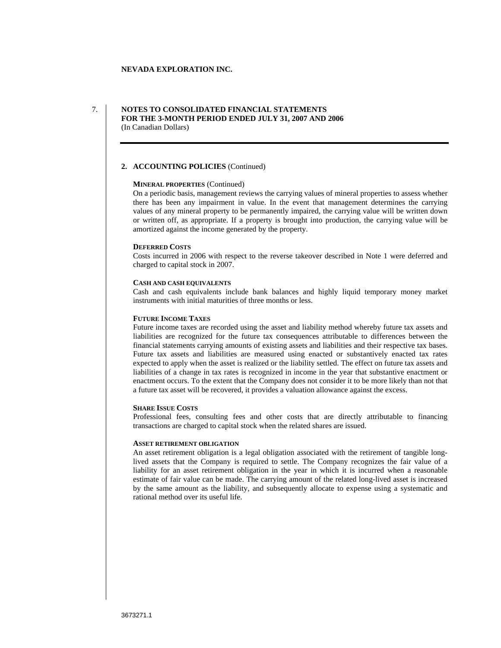### 7. **NOTES TO CONSOLIDATED FINANCIAL STATEMENTS FOR THE 3-MONTH PERIOD ENDED JULY 31, 2007 AND 2006** (In Canadian Dollars)

# **2. ACCOUNTING POLICIES** (Continued)

#### **MINERAL PROPERTIES** (Continued)

On a periodic basis, management reviews the carrying values of mineral properties to assess whether there has been any impairment in value. In the event that management determines the carrying values of any mineral property to be permanently impaired, the carrying value will be written down or written off, as appropriate. If a property is brought into production, the carrying value will be amortized against the income generated by the property.

#### **DEFERRED COSTS**

Costs incurred in 2006 with respect to the reverse takeover described in Note 1 were deferred and charged to capital stock in 2007.

#### **CASH AND CASH EQUIVALENTS**

Cash and cash equivalents include bank balances and highly liquid temporary money market instruments with initial maturities of three months or less.

#### **FUTURE INCOME TAXES**

Future income taxes are recorded using the asset and liability method whereby future tax assets and liabilities are recognized for the future tax consequences attributable to differences between the financial statements carrying amounts of existing assets and liabilities and their respective tax bases. Future tax assets and liabilities are measured using enacted or substantively enacted tax rates expected to apply when the asset is realized or the liability settled. The effect on future tax assets and liabilities of a change in tax rates is recognized in income in the year that substantive enactment or enactment occurs. To the extent that the Company does not consider it to be more likely than not that a future tax asset will be recovered, it provides a valuation allowance against the excess.

### **SHARE ISSUE COSTS**

Professional fees, consulting fees and other costs that are directly attributable to financing transactions are charged to capital stock when the related shares are issued.

#### **ASSET RETIREMENT OBLIGATION**

An asset retirement obligation is a legal obligation associated with the retirement of tangible longlived assets that the Company is required to settle. The Company recognizes the fair value of a liability for an asset retirement obligation in the year in which it is incurred when a reasonable estimate of fair value can be made. The carrying amount of the related long-lived asset is increased by the same amount as the liability, and subsequently allocate to expense using a systematic and rational method over its useful life.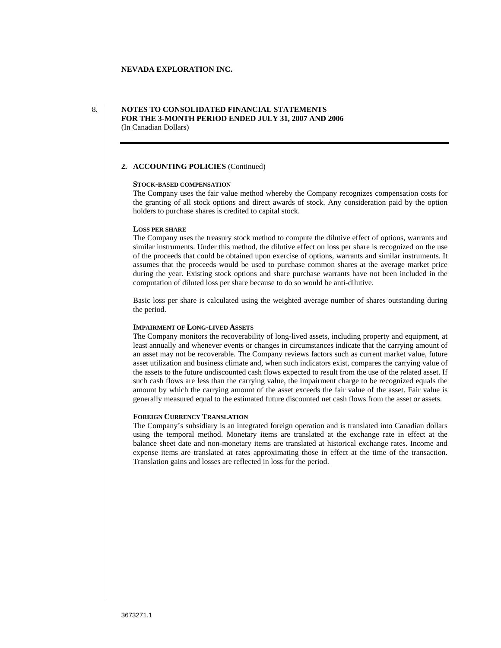### 8. **NOTES TO CONSOLIDATED FINANCIAL STATEMENTS FOR THE 3-MONTH PERIOD ENDED JULY 31, 2007 AND 2006** (In Canadian Dollars)

# **2. ACCOUNTING POLICIES** (Continued)

#### **STOCK-BASED COMPENSATION**

The Company uses the fair value method whereby the Company recognizes compensation costs for the granting of all stock options and direct awards of stock. Any consideration paid by the option holders to purchase shares is credited to capital stock.

#### **LOSS PER SHARE**

The Company uses the treasury stock method to compute the dilutive effect of options, warrants and similar instruments. Under this method, the dilutive effect on loss per share is recognized on the use of the proceeds that could be obtained upon exercise of options, warrants and similar instruments. It assumes that the proceeds would be used to purchase common shares at the average market price during the year. Existing stock options and share purchase warrants have not been included in the computation of diluted loss per share because to do so would be anti-dilutive.

Basic loss per share is calculated using the weighted average number of shares outstanding during the period.

#### **IMPAIRMENT OF LONG-LIVED ASSETS**

The Company monitors the recoverability of long-lived assets, including property and equipment, at least annually and whenever events or changes in circumstances indicate that the carrying amount of an asset may not be recoverable. The Company reviews factors such as current market value, future asset utilization and business climate and, when such indicators exist, compares the carrying value of the assets to the future undiscounted cash flows expected to result from the use of the related asset. If such cash flows are less than the carrying value, the impairment charge to be recognized equals the amount by which the carrying amount of the asset exceeds the fair value of the asset. Fair value is generally measured equal to the estimated future discounted net cash flows from the asset or assets.

#### **FOREIGN CURRENCY TRANSLATION**

The Company's subsidiary is an integrated foreign operation and is translated into Canadian dollars using the temporal method. Monetary items are translated at the exchange rate in effect at the balance sheet date and non-monetary items are translated at historical exchange rates. Income and expense items are translated at rates approximating those in effect at the time of the transaction. Translation gains and losses are reflected in loss for the period.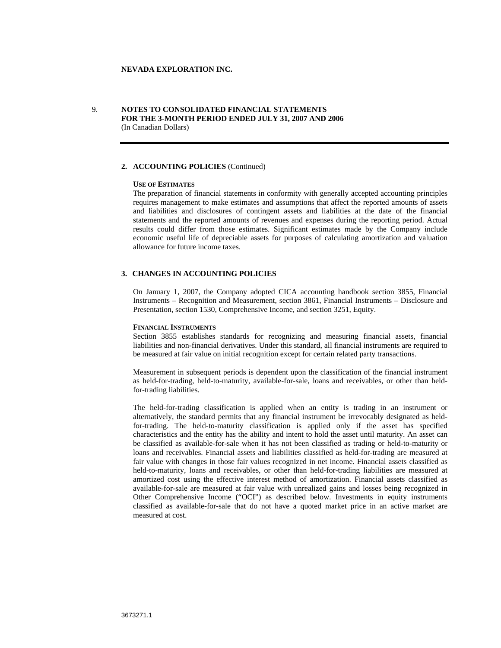## 9. **NOTES TO CONSOLIDATED FINANCIAL STATEMENTS FOR THE 3-MONTH PERIOD ENDED JULY 31, 2007 AND 2006** (In Canadian Dollars)

## **2. ACCOUNTING POLICIES** (Continued)

#### **USE OF ESTIMATES**

The preparation of financial statements in conformity with generally accepted accounting principles requires management to make estimates and assumptions that affect the reported amounts of assets and liabilities and disclosures of contingent assets and liabilities at the date of the financial statements and the reported amounts of revenues and expenses during the reporting period. Actual results could differ from those estimates. Significant estimates made by the Company include economic useful life of depreciable assets for purposes of calculating amortization and valuation allowance for future income taxes.

### **3. CHANGES IN ACCOUNTING POLICIES**

On January 1, 2007, the Company adopted CICA accounting handbook section 3855, Financial Instruments – Recognition and Measurement, section 3861, Financial Instruments – Disclosure and Presentation, section 1530, Comprehensive Income, and section 3251, Equity.

#### **FINANCIAL INSTRUMENTS**

Section 3855 establishes standards for recognizing and measuring financial assets, financial liabilities and non-financial derivatives. Under this standard, all financial instruments are required to be measured at fair value on initial recognition except for certain related party transactions.

Measurement in subsequent periods is dependent upon the classification of the financial instrument as held-for-trading, held-to-maturity, available-for-sale, loans and receivables, or other than heldfor-trading liabilities.

The held-for-trading classification is applied when an entity is trading in an instrument or alternatively, the standard permits that any financial instrument be irrevocably designated as heldfor-trading. The held-to-maturity classification is applied only if the asset has specified characteristics and the entity has the ability and intent to hold the asset until maturity. An asset can be classified as available-for-sale when it has not been classified as trading or held-to-maturity or loans and receivables. Financial assets and liabilities classified as held-for-trading are measured at fair value with changes in those fair values recognized in net income. Financial assets classified as held-to-maturity, loans and receivables, or other than held-for-trading liabilities are measured at amortized cost using the effective interest method of amortization. Financial assets classified as available-for-sale are measured at fair value with unrealized gains and losses being recognized in Other Comprehensive Income ("OCI") as described below. Investments in equity instruments classified as available-for-sale that do not have a quoted market price in an active market are measured at cost.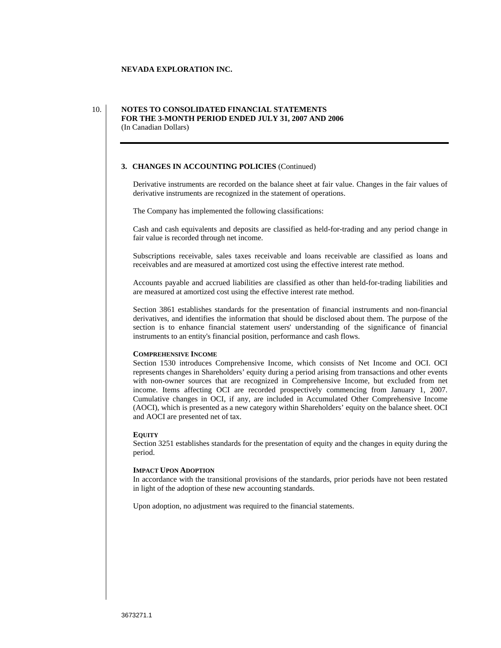### 10. **NOTES TO CONSOLIDATED FINANCIAL STATEMENTS FOR THE 3-MONTH PERIOD ENDED JULY 31, 2007 AND 2006** (In Canadian Dollars)

### **3. CHANGES IN ACCOUNTING POLICIES** (Continued)

Derivative instruments are recorded on the balance sheet at fair value. Changes in the fair values of derivative instruments are recognized in the statement of operations.

The Company has implemented the following classifications:

Cash and cash equivalents and deposits are classified as held-for-trading and any period change in fair value is recorded through net income.

Subscriptions receivable, sales taxes receivable and loans receivable are classified as loans and receivables and are measured at amortized cost using the effective interest rate method.

Accounts payable and accrued liabilities are classified as other than held-for-trading liabilities and are measured at amortized cost using the effective interest rate method.

Section 3861 establishes standards for the presentation of financial instruments and non-financial derivatives, and identifies the information that should be disclosed about them. The purpose of the section is to enhance financial statement users' understanding of the significance of financial instruments to an entity's financial position, performance and cash flows.

#### **COMPREHENSIVE INCOME**

Section 1530 introduces Comprehensive Income, which consists of Net Income and OCI. OCI represents changes in Shareholders' equity during a period arising from transactions and other events with non-owner sources that arerecognized in Comprehensive Income, but excluded from net income. Items affecting OCI are recorded prospectively commencing from January 1, 2007. Cumulative changes in OCI, if any, are included in Accumulated Other Comprehensive Income (AOCI), which is presented as a new category within Shareholders' equity on the balance sheet. OCI and AOCI are presented net of tax.

#### **EQUITY**

Section 3251 establishes standards for the presentation of equity and the changes in equity during the period. The contract of the contract of the contract of the contract of the contract of the contract of the contract of the contract of the contract of the contract of the contract of the contract of the contract of the co

#### **IMPACT UPON ADOPTION**

In accordance with the transitional provisions of the standards, prior periods have not been restated in light of the adoption of these new accounting standards.

Upon adoption, no adjustment was required to the financial statements.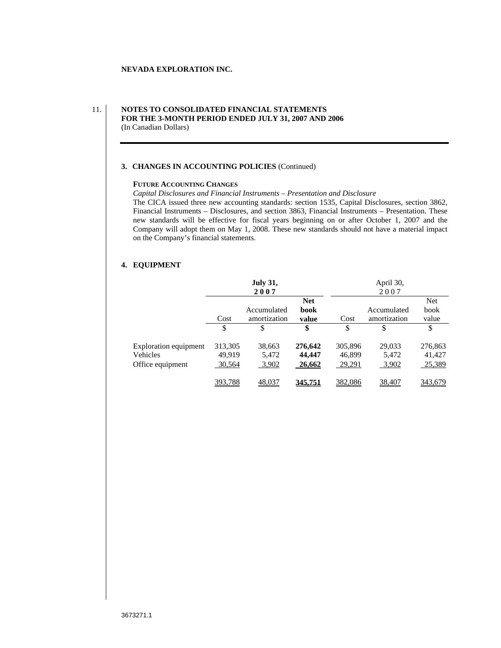## 11. **NOTES TO CONSOLIDATED FINANCIAL STATEMENTS FOR THE 3-MONTH PERIOD ENDED JULY 31, 2007 AND 2006** (In Canadian Dollars)

## **3. CHANGES IN ACCOUNTING POLICIES** (Continued)

#### **FUTURE ACCOUNTING CHANGES**

*Capital Disclosures and Financial Instruments – Presentation and Disclosure*

The CICA issued three new accounting standards: section 1535, Capital Disclosures, section 3862, Financial Instruments – Disclosures, and section 3863, Financial Instruments – Presentation. These new standards will be effective for fiscal years beginning on or after October 1, 2007 and the Company will adopt them on May 1, 2008. These new standards should not have a material impact on the Company's financial statements.

#### **4. EQUIPMENT**

|                                                  |                     | <b>July 31,</b> |         |         | April 30,    |         |
|--------------------------------------------------|---------------------|-----------------|---------|---------|--------------|---------|
|                                                  |                     | 200'            |         |         | 2007         |         |
|                                                  |                     |                 |         |         |              |         |
|                                                  |                     | Accumulated     | book    |         | Accumulated  | book    |
|                                                  | $\dot{\text{Cost}}$ | amortization    | value   | Cost    | amortization | value   |
|                                                  |                     |                 |         |         |              |         |
|                                                  |                     |                 |         |         |              |         |
|                                                  |                     | 38,663          | 276,642 | 305,896 | 29,033       | 276,863 |
| Exploration equipment 313,305<br>Vehicles 49,919 |                     | 5,472           | 44,447  | 46,899  | 5,472        | 41,427  |
| Office equipment                                 | 30,564              | 3,902           | 26,662  | 29,291  | 3,902        | 25,389  |
|                                                  |                     |                 |         |         |              |         |
|                                                  | 393,788             | 48,037          | 345,751 | 382,086 | 38,407       | 343,679 |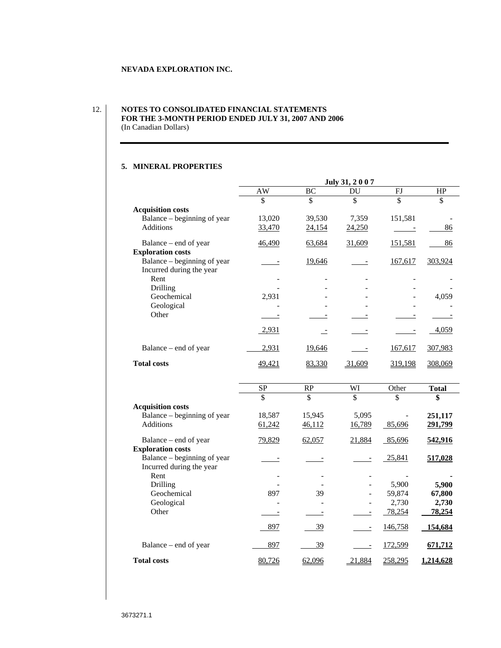#### 12. **NOTES TO CONSOLIDATED FINANCIAL STATEMENTS FOR THE 3-MONTH PERIOD ENDED JULY 31, 2007 AND 2006** (In Canadian Dollars)

#### **5. MINERAL PROPERTIES**

| Rent                                                                                                                                                                                 | $\frac{AW}{f}$<br>$\mathcal{S}$<br>13,020<br>33,470<br>46,490<br>$\frac{1}{2}$ | BC<br>$\mathcal{S}$<br>39,530<br>24,154<br>63,684 | DU<br>7,359<br>24,250<br>31,609                                                                                                                                                                                                                                                                                                                                                              | <b>FJ</b><br>$\mathcal{S}$<br>151,581<br>$\frac{1}{2}$ and $\frac{1}{2}$<br>151,581 | HP<br>$\mathbb{S}$<br>$rac{86}{1}$ |
|--------------------------------------------------------------------------------------------------------------------------------------------------------------------------------------|--------------------------------------------------------------------------------|---------------------------------------------------|----------------------------------------------------------------------------------------------------------------------------------------------------------------------------------------------------------------------------------------------------------------------------------------------------------------------------------------------------------------------------------------------|-------------------------------------------------------------------------------------|------------------------------------|
| <b>Acquisition costs</b><br>Balance – beginning of year<br>Additions<br>Balance – end of year<br><b>Exploration costs</b><br>Balance – beginning of year<br>Incurred during the year |                                                                                |                                                   |                                                                                                                                                                                                                                                                                                                                                                                              |                                                                                     |                                    |
|                                                                                                                                                                                      |                                                                                |                                                   |                                                                                                                                                                                                                                                                                                                                                                                              |                                                                                     |                                    |
|                                                                                                                                                                                      |                                                                                |                                                   |                                                                                                                                                                                                                                                                                                                                                                                              |                                                                                     |                                    |
|                                                                                                                                                                                      |                                                                                |                                                   |                                                                                                                                                                                                                                                                                                                                                                                              |                                                                                     |                                    |
|                                                                                                                                                                                      |                                                                                |                                                   |                                                                                                                                                                                                                                                                                                                                                                                              |                                                                                     |                                    |
|                                                                                                                                                                                      |                                                                                |                                                   |                                                                                                                                                                                                                                                                                                                                                                                              |                                                                                     | 86                                 |
|                                                                                                                                                                                      |                                                                                |                                                   |                                                                                                                                                                                                                                                                                                                                                                                              |                                                                                     |                                    |
|                                                                                                                                                                                      |                                                                                | 19,646                                            | $\frac{1}{2}$                                                                                                                                                                                                                                                                                                                                                                                | 167,617 303,924                                                                     |                                    |
|                                                                                                                                                                                      |                                                                                |                                                   |                                                                                                                                                                                                                                                                                                                                                                                              |                                                                                     |                                    |
|                                                                                                                                                                                      | $\sim 100$ m $^{-1}$                                                           | <b>Contract Contract</b>                          | <b>Contract Contract</b>                                                                                                                                                                                                                                                                                                                                                                     |                                                                                     | the company's state of the         |
| Drilling<br>Geochemical                                                                                                                                                              | $\sim 100$<br>2,931                                                            |                                                   |                                                                                                                                                                                                                                                                                                                                                                                              | $\sim$                                                                              | 4,059                              |
| Geological                                                                                                                                                                           | <b>Contract Contract</b>                                                       |                                                   |                                                                                                                                                                                                                                                                                                                                                                                              | $\sim$ 100 $\mu$                                                                    |                                    |
| Other                                                                                                                                                                                |                                                                                |                                                   |                                                                                                                                                                                                                                                                                                                                                                                              |                                                                                     |                                    |
|                                                                                                                                                                                      | $\frac{1}{2}$                                                                  | $\overbrace{\hspace{25mm}}^{}$                    | $\sim$ $\sim$ $\sim$ $\sim$ $\sim$                                                                                                                                                                                                                                                                                                                                                           | $\frac{1}{2}$                                                                       |                                    |
|                                                                                                                                                                                      | 2,931                                                                          | ا شد                                              | $\frac{1}{2}$                                                                                                                                                                                                                                                                                                                                                                                | $\sim$                                                                              | $-4,059$                           |
|                                                                                                                                                                                      |                                                                                |                                                   |                                                                                                                                                                                                                                                                                                                                                                                              |                                                                                     |                                    |
| Balance – end of year                                                                                                                                                                | 2,931                                                                          | 19,646                                            | $\frac{1}{2}$                                                                                                                                                                                                                                                                                                                                                                                | 167,617 307,983                                                                     |                                    |
| <b>Total costs</b>                                                                                                                                                                   | 49,421                                                                         | 83,330                                            | 31,609                                                                                                                                                                                                                                                                                                                                                                                       | 319,198 308,069                                                                     |                                    |
|                                                                                                                                                                                      |                                                                                |                                                   |                                                                                                                                                                                                                                                                                                                                                                                              |                                                                                     |                                    |
|                                                                                                                                                                                      | $S_{\rm P}$                                                                    | RP                                                | WI                                                                                                                                                                                                                                                                                                                                                                                           | Other                                                                               | Total                              |
|                                                                                                                                                                                      |                                                                                |                                                   |                                                                                                                                                                                                                                                                                                                                                                                              | $\mathcal{L}$                                                                       | $\mathbf{S}$                       |
| <b>Acquisition costs</b>                                                                                                                                                             |                                                                                |                                                   |                                                                                                                                                                                                                                                                                                                                                                                              |                                                                                     |                                    |
| Balance – beginning of year                                                                                                                                                          | 18,587                                                                         | 15,945                                            | 5,095                                                                                                                                                                                                                                                                                                                                                                                        | $\sim$ $-$                                                                          | 251,117                            |
| Additions                                                                                                                                                                            | 61,242                                                                         | 46,112                                            | 16,789                                                                                                                                                                                                                                                                                                                                                                                       | 85,696                                                                              | 291,799                            |
|                                                                                                                                                                                      |                                                                                |                                                   |                                                                                                                                                                                                                                                                                                                                                                                              |                                                                                     |                                    |
| Balance - end of year<br><b>Exploration costs</b>                                                                                                                                    | 79,829                                                                         | 62,057                                            | 21,884                                                                                                                                                                                                                                                                                                                                                                                       | 85,696                                                                              | 542,916                            |
| Balance – beginning of year                                                                                                                                                          | $\frac{1}{2}$                                                                  | التسبيب                                           | $\frac{1}{2}$                                                                                                                                                                                                                                                                                                                                                                                | 25,841                                                                              | 517,028                            |
| Incurred during the year                                                                                                                                                             |                                                                                |                                                   |                                                                                                                                                                                                                                                                                                                                                                                              |                                                                                     |                                    |
| Rent                                                                                                                                                                                 | $\sim 100$ m $^{-1}$                                                           | $\sim$ $ \sim$                                    | <b>Contract Contract</b>                                                                                                                                                                                                                                                                                                                                                                     | <b>Contract Contract</b>                                                            | $\sim$ 100 $\pm$ 100 $\pm$         |
|                                                                                                                                                                                      | $\sim 10^{-10}$                                                                |                                                   |                                                                                                                                                                                                                                                                                                                                                                                              | 5,900                                                                               | 5,900                              |
| Drilling                                                                                                                                                                             |                                                                                |                                                   | $\sim 10^{-10}$ m $^{-1}$                                                                                                                                                                                                                                                                                                                                                                    | 59,874                                                                              | 67,800                             |
| Geochemical                                                                                                                                                                          | 897                                                                            | 39                                                |                                                                                                                                                                                                                                                                                                                                                                                              |                                                                                     |                                    |
| Geological                                                                                                                                                                           | $\sim 100$ m $^{-1}$                                                           | $\sim$ $ \sim$                                    | $\sim 100$ m $^{-1}$                                                                                                                                                                                                                                                                                                                                                                         | 2,730                                                                               | 2,730                              |
| Other                                                                                                                                                                                | $\frac{1}{2}$                                                                  | $\frac{1}{2}$                                     | $\frac{1}{2}$                                                                                                                                                                                                                                                                                                                                                                                | 78,254                                                                              | $-78,254$                          |
|                                                                                                                                                                                      |                                                                                |                                                   |                                                                                                                                                                                                                                                                                                                                                                                              |                                                                                     |                                    |
|                                                                                                                                                                                      | 897                                                                            | $\frac{39}{2}$                                    | $\frac{1}{2} \frac{1}{2} \frac{1}{2} \frac{1}{2} \frac{1}{2} \frac{1}{2} \frac{1}{2} \frac{1}{2} \frac{1}{2} \frac{1}{2} \frac{1}{2} \frac{1}{2} \frac{1}{2} \frac{1}{2} \frac{1}{2} \frac{1}{2} \frac{1}{2} \frac{1}{2} \frac{1}{2} \frac{1}{2} \frac{1}{2} \frac{1}{2} \frac{1}{2} \frac{1}{2} \frac{1}{2} \frac{1}{2} \frac{1}{2} \frac{1}{2} \frac{1}{2} \frac{1}{2} \frac{1}{2} \frac{$ | 146,758                                                                             | 154,684                            |
| Balance – end of year                                                                                                                                                                | 897                                                                            | $\frac{39}{2}$                                    | $\frac{1}{2}$                                                                                                                                                                                                                                                                                                                                                                                | 172,599                                                                             | 671,712                            |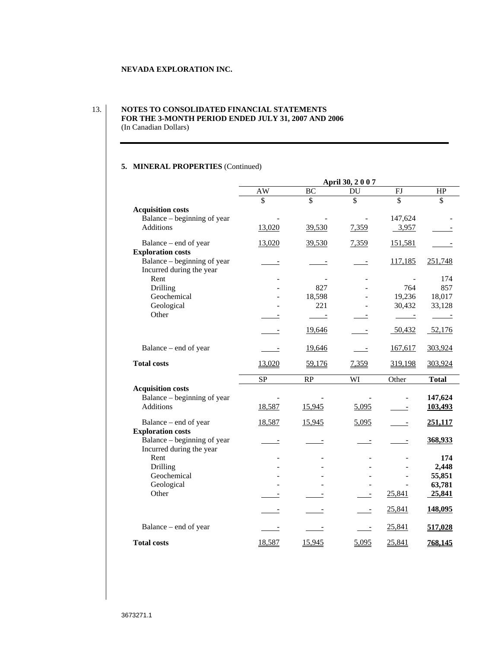## 13. **NOTES TO CONSOLIDATED FINANCIAL STATEMENTS FOR THE 3-MONTH PERIOD ENDED JULY 31, 2007 AND 2006** (In Canadian Dollars)

# **5. MINERAL PROPERTIES** (Continued)

|                             |                                 |                                                                                                                                                                                                                                      | April 30, 2007 |                                                                     |                  |
|-----------------------------|---------------------------------|--------------------------------------------------------------------------------------------------------------------------------------------------------------------------------------------------------------------------------------|----------------|---------------------------------------------------------------------|------------------|
|                             | $\overline{\phantom{1}}$ AW     | BC                                                                                                                                                                                                                                   | DU             | FJ                                                                  | HP               |
|                             |                                 | $\mathcal{L}$                                                                                                                                                                                                                        |                |                                                                     | $\mathcal{L}$    |
| <b>Acquisition costs</b>    |                                 |                                                                                                                                                                                                                                      |                |                                                                     |                  |
| Balance – beginning of year | <b>Contractor</b>               |                                                                                                                                                                                                                                      | $\sim 100$     | 147,624                                                             |                  |
| Additions                   | 13,020                          | 39,530                                                                                                                                                                                                                               | 7,359          | 3,957                                                               |                  |
| Balance – end of year       | 13,020                          | 39,530                                                                                                                                                                                                                               | 7,359          | 151,581                                                             | <u>المستندان</u> |
| <b>Exploration costs</b>    |                                 |                                                                                                                                                                                                                                      |                |                                                                     |                  |
| Balance – beginning of year | $\frac{1}{2}$ and $\frac{1}{2}$ | التقسيم المنا                                                                                                                                                                                                                        | $\frac{1}{2}$  |                                                                     | 117,185 251,748  |
| Incurred during the year    |                                 |                                                                                                                                                                                                                                      |                |                                                                     |                  |
| Rent<br>Drilling            | $\sim 100$ m $^{-1}$<br>$\sim$  | 827                                                                                                                                                                                                                                  |                | $\sim$<br>764                                                       | 174<br>857       |
| Geochemical                 | <b>Contract Contract</b>        | 18,598                                                                                                                                                                                                                               | $\sim 100$     | 19,236                                                              | 18,017           |
| Geological                  | $\sim 100$ m $^{-1}$            | 221                                                                                                                                                                                                                                  | $\sim 100$     | 30,432                                                              | 33,128           |
| Other                       | $\frac{1}{2}$                   |                                                                                                                                                                                                                                      |                | $\frac{1}{2} \left( \frac{1}{2} \right) \left( \frac{1}{2} \right)$ | تستنسب           |
|                             |                                 |                                                                                                                                                                                                                                      |                |                                                                     |                  |
|                             | $\frac{1}{2}$                   | 19,646                                                                                                                                                                                                                               | $\frac{1}{2}$  | 50,432                                                              | 52,176           |
| Balance – end of year       | $\frac{1}{2}$ and $\frac{1}{2}$ | 19,646                                                                                                                                                                                                                               | $\frac{1}{2}$  | 167,617                                                             | 303,924          |
|                             |                                 |                                                                                                                                                                                                                                      |                |                                                                     |                  |
| <b>Total costs</b>          | 13,020                          | 59,176                                                                                                                                                                                                                               | 7,359          |                                                                     | 319,198 303,924  |
|                             | SP                              | RP                                                                                                                                                                                                                                   | WI             | Other                                                               | <b>Total</b>     |
| <b>Acquisition costs</b>    |                                 |                                                                                                                                                                                                                                      |                |                                                                     |                  |
| Balance – beginning of year | $\sim 100$ m $^{-1}$            | $\sim$                                                                                                                                                                                                                               |                | $\sim$ $-$                                                          | 147,624          |
| Additions                   | 18,587                          | 15,945                                                                                                                                                                                                                               | 5,095          | $\frac{1}{2}$                                                       | 103,493          |
| Balance – end of year       | 18,587                          |                                                                                                                                                                                                                                      |                |                                                                     | 251,117          |
| <b>Exploration costs</b>    |                                 | 15,945                                                                                                                                                                                                                               | 5,095          | $\frac{1}{2} \left( \frac{1}{2} \right) \left( \frac{1}{2} \right)$ |                  |
| Balance – beginning of year | $\frac{1}{2}$ and $\frac{1}{2}$ | التسبب                                                                                                                                                                                                                               | المستنبين      | $\frac{1}{2}$                                                       | 368,933          |
| Incurred during the year    |                                 |                                                                                                                                                                                                                                      |                |                                                                     |                  |
| Rent                        | $\sim$ $ \sim$                  |                                                                                                                                                                                                                                      |                |                                                                     | 174              |
| Drilling                    | $\sim$ $-$                      |                                                                                                                                                                                                                                      | $\sim$ $-$     |                                                                     | 2,448            |
| Geochemical<br>Geological   | $\sim$ $-$                      |                                                                                                                                                                                                                                      | $\sim$ $-$     |                                                                     | 55,851<br>63,781 |
| Other                       | $\sim$ 100 $\sim$               |                                                                                                                                                                                                                                      |                | 25,841                                                              | 25,841           |
|                             | $\frac{1}{2}$                   | <u>ransmission in the set of the set of the set of the set of the set of the set of the set of the set of the set of the set of the set of the set of the set of the set of the set of the set of the set of the set of the set </u> | $\frac{1}{2}$  |                                                                     |                  |
|                             | $\frac{1}{2}$                   | التسبيب                                                                                                                                                                                                                              | $\frac{1}{2}$  | 25,841                                                              | 148,095          |
|                             |                                 |                                                                                                                                                                                                                                      |                |                                                                     |                  |
| Balance – end of year       | $\frac{1}{2}$                   | $\frac{1}{2}$                                                                                                                                                                                                                        | المستقبل       | 25,841                                                              | 517,028          |
| <b>Total costs</b>          | 18,587                          | 15,945                                                                                                                                                                                                                               | 5,095          | 25,841                                                              | <u>768,145</u>   |

3673271.1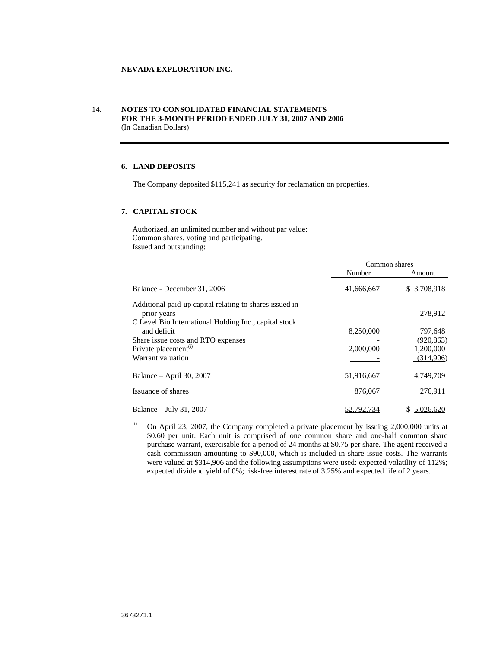## 14. **NOTES TO CONSOLIDATED FINANCIAL STATEMENTS FOR THE 3-MONTH PERIOD ENDED JULY 31, 2007 AND 2006** (In Canadian Dollars)

## **6. LAND DEPOSITS**

The Company deposited \$115,241 as security for reclamation on properties.

#### **7. CAPITAL STOCK**

Authorized, an unlimited number and without par value: Common shares, voting and participating. Issued and outstanding:

|                                                         | Common shares                     |             |
|---------------------------------------------------------|-----------------------------------|-------------|
|                                                         | Numbe:                            | Amount      |
| Balance - December 31, 2006                             | 41,666,667                        | \$3,708,918 |
| Additional paid-up capital relating to shares issued in |                                   |             |
| prior years                                             |                                   | 278,912     |
| C Level Bio International Holding Inc., capital stock   |                                   |             |
| and deficit                                             | 8,250,000                         | 797,648     |
| Share issue costs and RTO expenses                      |                                   | (920, 863)  |
| Private placement <sup>(i)</sup>                        | 2,000,000                         | 1,200,000   |
| Warrant valuation                                       | and the control of the control of | (314,906)   |
| Balance - April 30, 2007                                | 51,916,667                        | 4,749,709   |
| Issuance of shares                                      | 876,067                           | 276,911     |
| Balance - July 31, 2007                                 | 52,792,734                        | \$5,026,620 |

 $\ldots$  On April 23, 2007, the Company completed a private placement by issuing 2,000,000 units at \$0.60 per unit. Each unit is comprised of one common share and one-half common share purchase warrant, exercisable for a period of 24 months at \$0.75 pershare. The agent received a cash commission amounting to \$90,000, which is included in share issue costs. The warrants were valued at \$314,906 and the following assumptions were used: expected volatility of 112%; expected dividend yield of 0%; risk-free interest rate of 3.25% and expected life of 2 years.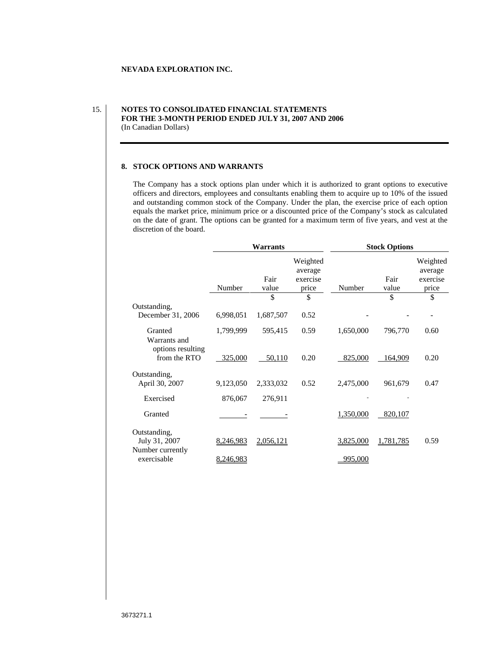## 15. **NOTES TO CONSOLIDATED FINANCIAL STATEMENTS FOR THE 3-MONTH PERIOD ENDED JULY 31, 2007 AND 2006** (In Canadian Dollars)

#### **8. STOCK OPTIONS AND WARRANTS**

The Company has a stock options plan under which it is authorized to grant options to executive officers and directors, employees and consultants enabling them to acquire up to 10% of the issued and outstanding common stock of the Company. Under the plan, the exercise price of each option equals the market price, minimum price or a discounted price of the Company's stock as calculated on the date of grant. The options can be granted for a maximum term of five years, and vest at the discretion of the board.

|                                                   |                                                                          | Warrants      |                                          |           | <b>Stock Options</b>     |                                 |
|---------------------------------------------------|--------------------------------------------------------------------------|---------------|------------------------------------------|-----------|--------------------------|---------------------------------|
|                                                   |                                                                          | Fair<br>value | Weighted<br>average<br>exercise<br>price | Number    | Fair<br>value            | Weighted<br>average<br>exercise |
|                                                   | Number                                                                   |               |                                          |           |                          | price                           |
| Outstanding,<br>December 31, 2006                 | 6,998,051                                                                | 1,687,507     | 0.52                                     | $\sim$    | $\overline{\phantom{a}}$ | $\overline{\phantom{a}}$        |
| Granted<br>Warrants and<br>options resulting      | 1,799,999                                                                | 595,415       | 0.59                                     | 1,650,000 | 796,770                  | 0.60                            |
| from the RTO                                      | 325,000                                                                  | 50,110        | 0.20                                     | 825,000   | 164,909                  | 0.20                            |
| Outstanding,<br>April 30, 2007                    | 9,123,050                                                                | 2,333,032     | 0.52                                     | 2,475,000 | 961,679                  | 0.47                            |
| Exercised                                         | 876,067                                                                  | 276,911       |                                          |           | $\sim$                   |                                 |
| Granted                                           | and the contract of the contract of<br>and the state of the state of the | $\sim$        |                                          | 1,350,000 | 820,107                  |                                 |
| Outstanding,<br>July 31, 2007<br>Number currently | 8,246,983 2,056,121                                                      |               |                                          | 3,825,000 | 1,781,785                | 0.59                            |
| exercisable                                       | 8,246,983                                                                |               |                                          | 995,000   |                          |                                 |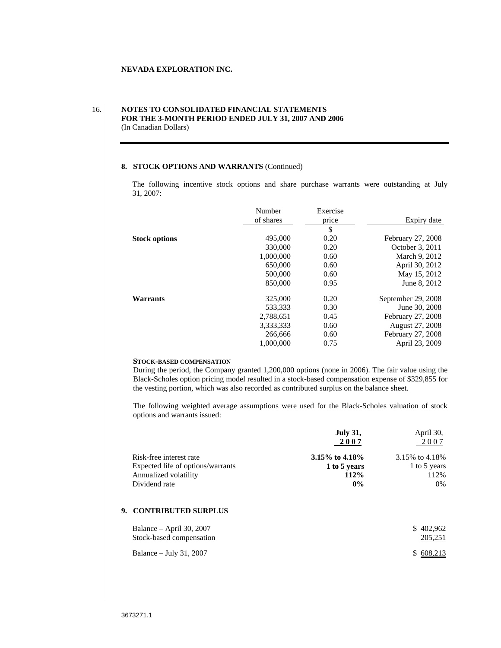## 16. **NOTES TO CONSOLIDATED FINANCIAL STATEMENTS FOR THE 3-MONTH PERIOD ENDED JULY 31, 2007 AND 2006** (In Canadian Dollars)

#### **8. STOCK OPTIONS AND WARRANTS** (Continued)

The following incentive stock options and share purchase warrants were outstanding at July 31, 2007:

|                      | Number    | Exercise |                    |
|----------------------|-----------|----------|--------------------|
|                      | of shares | price    | Expiry date        |
|                      |           |          |                    |
| <b>Stock options</b> | 495,000   | 0.20     | February 27, 2008  |
|                      | 330,000   | 0.20     | October 3, 2011    |
|                      | 1,000,000 | 0.60     | March 9, 2012      |
|                      | 650,000   | 0.60     | April 30, 2012     |
|                      | 500,000   | 0.60     | May 15, 2012       |
|                      | 850,000   | 0.95     | June 8, 2012       |
| Warrants             | 325,000   | 0.20     | September 29, 2008 |
|                      | 533,333   | 0.30     | June 30, 2008      |
|                      | 2,788,651 | 0.45     | February 27, 2008  |
|                      | 3,333,333 | 0.60     | August 27, 2008    |
|                      | 266,666   | 0.60     | February 27, 2008  |
|                      | 1,000,000 | 0.75     | April 23, 2009     |

#### **STOCK-BASED COMPENSATION**

During the period, the Company granted 1,200,000 options (none in 2006). The fair value using the Black-Scholes option pricing model resulted in a stock-based compensation expense of \$329,855 for the vesting portion, which was also recorded as contributed surplus on the balance sheet.

The following weighted average assumptions were used for the Black-Scholes valuation of stock options and warrants issued:

|                                           | <b>July 31,</b><br>April 30<br>. |  |
|-------------------------------------------|----------------------------------|--|
|                                           | 2007<br>$2007$<br>200            |  |
|                                           |                                  |  |
| Risk-free interest rate<br>3.15% to 4.18% | 3.15% to 4.18%                   |  |
| Expected life of options/warrants         | 1 to 5 years<br>1 to 5 years     |  |
| Annualized volatility                     | 112%<br>112%                     |  |
| Dividend rate                             |                                  |  |

#### **9. CONTRIBUTED SURPLUS**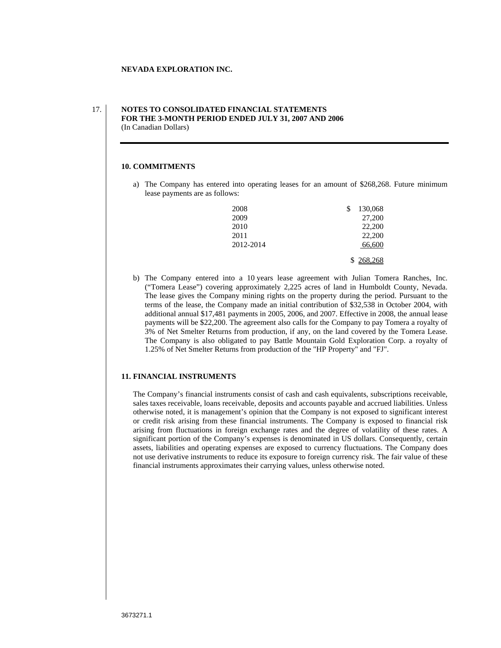### 17. **NOTES TO CONSOLIDATED FINANCIAL STATEMENTS FOR THE 3-MONTH PERIOD ENDED JULY 31, 2007 AND 2006** (In Canadian Dollars)

## **10. COMMITMENTS**

a) The Company has entered into operating leases for an amount of \$268,268. Future minimum lease payments are as follows:

| 2008                | 130,068              |  |  |  |
|---------------------|----------------------|--|--|--|
| $\frac{2009}{2010}$ | $27,200$<br>$22,200$ |  |  |  |
|                     |                      |  |  |  |
|                     |                      |  |  |  |
| 2011<br>2012-2014   | 22,200<br>66,600     |  |  |  |
|                     |                      |  |  |  |
|                     | $\sqrt[4]{268,268}$  |  |  |  |

b) The Company entered into a 10 years lease agreement with Julian Tomera Ranches, Inc. ("Tomera Lease") covering approximately 2,225 acres of land in Humboldt County, Nevada. The lease gives the Company mining rights on the property during the period. Pursuant to the terms of the lease, the Company made an initial contribution of \$32,538 in October 2004, with additional annual \$17,481 payments in 2005, 2006, and 2007. Effective in 2008, the annual lease payments will be \$22,200. The agreement also calls for the Company to pay Tomera a royalty of 3% of Net Smelter Returns from production, if any, on the land covered by the Tomera Lease. The Company is also obligated to pay Battle Mountain Gold Exploration Corp. a royalty of 1.25% of Net Smelter Returns from production of the "HP Property" and "FJ".

#### **11. FINANCIAL INSTRUMENTS**

The Company's financial instruments consist of cash and cash equivalents, subscriptions receivable, sales taxes receivable, loans receivable, deposits and accounts payable and accrued liabilities. Unless otherwise noted, it is management's opinion that the Company is not exposed to significant interest or credit risk arising from these financial instruments. The Company is exposed to financial risk arising from fluctuations in foreign exchange rates and the degree of volatility of these rates. A significant portion of the Company's expenses is denominated in US dollars. Consequently, certain assets, liabilities and operating expenses are exposed to currency fluctuations. The Company does not use derivative instruments to reduce its exposure to foreign currency risk. The fair value of these financial instruments approximates their carrying values, unless otherwise noted.